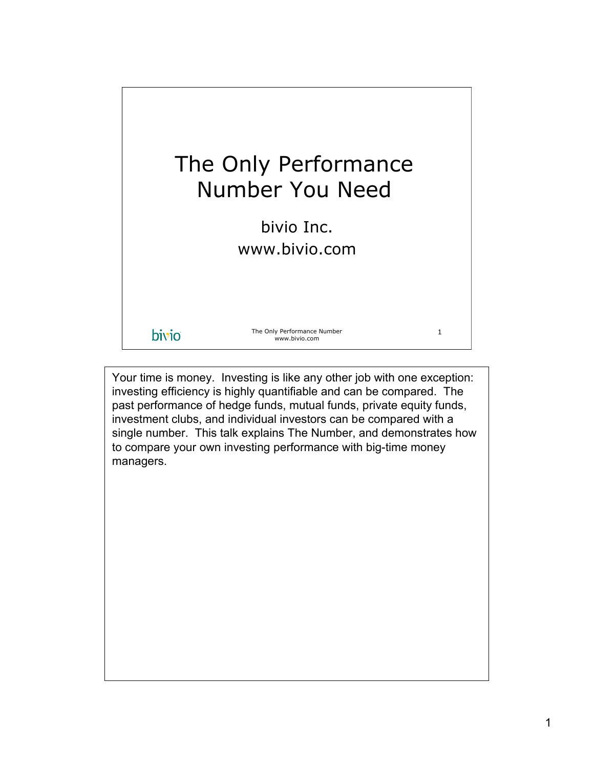

Your time is money. Investing is like any other job with one exception: investing efficiency is highly quantifiable and can be compared. The past performance of hedge funds, mutual funds, private equity funds, investment clubs, and individual investors can be compared with a single number. This talk explains The Number, and demonstrates how to compare your own investing performance with big-time money managers.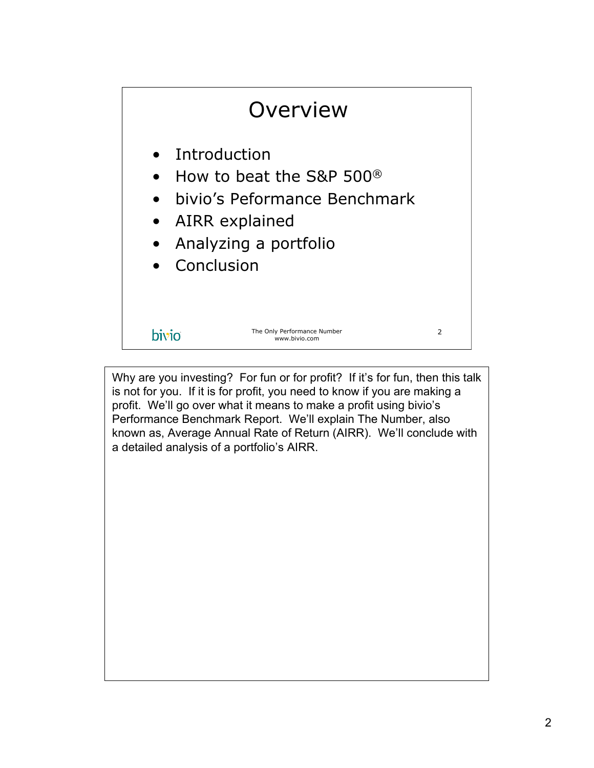

Why are you investing? For fun or for profit? If it's for fun, then this talk is not for you. If it is for profit, you need to know if you are making a profit. We'll go over what it means to make a profit using bivio's Performance Benchmark Report. We'll explain The Number, also known as, Average Annual Rate of Return (AIRR). We'll conclude with a detailed analysis of a portfolio's AIRR.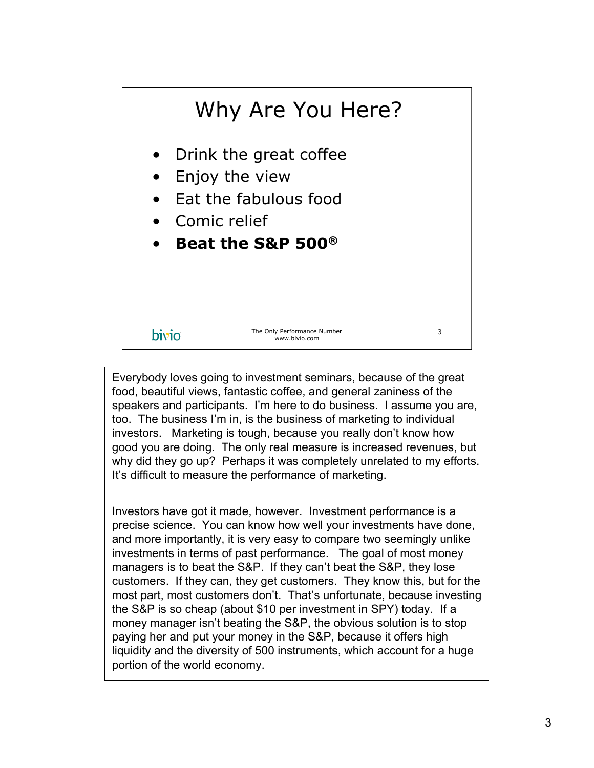

Everybody loves going to investment seminars, because of the great food, beautiful views, fantastic coffee, and general zaniness of the speakers and participants. I'm here to do business. I assume you are, too. The business I'm in, is the business of marketing to individual investors. Marketing is tough, because you really don't know how good you are doing. The only real measure is increased revenues, but why did they go up? Perhaps it was completely unrelated to my efforts. It's difficult to measure the performance of marketing.

Investors have got it made, however. Investment performance is a precise science. You can know how well your investments have done, and more importantly, it is very easy to compare two seemingly unlike investments in terms of past performance. The goal of most money managers is to beat the S&P. If they can't beat the S&P, they lose customers. If they can, they get customers. They know this, but for the most part, most customers don't. That's unfortunate, because investing the S&P is so cheap (about \$10 per investment in SPY) today. If a money manager isn't beating the S&P, the obvious solution is to stop paying her and put your money in the S&P, because it offers high liquidity and the diversity of 500 instruments, which account for a huge portion of the world economy.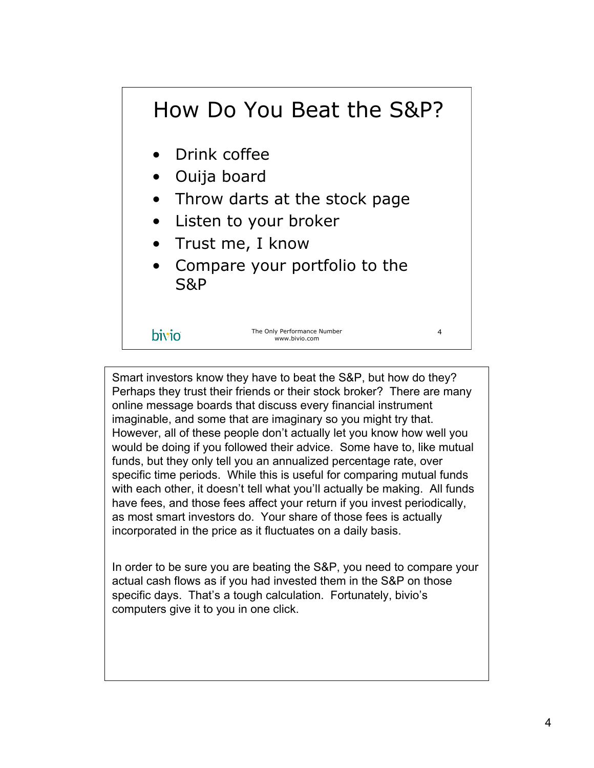## How Do You Beat the S&P?

- Drink coffee
- Ouija board
- Throw darts at the stock page
- Listen to your broker
- Trust me, I know
- Compare your portfolio to the S&P

## bivio

The Only Performance Number www.bivio.com

4

Smart investors know they have to beat the S&P, but how do they? Perhaps they trust their friends or their stock broker? There are many online message boards that discuss every financial instrument imaginable, and some that are imaginary so you might try that. However, all of these people don't actually let you know how well you would be doing if you followed their advice. Some have to, like mutual funds, but they only tell you an annualized percentage rate, over specific time periods. While this is useful for comparing mutual funds with each other, it doesn't tell what you'll actually be making. All funds have fees, and those fees affect your return if you invest periodically, as most smart investors do. Your share of those fees is actually incorporated in the price as it fluctuates on a daily basis.

In order to be sure you are beating the S&P, you need to compare your actual cash flows as if you had invested them in the S&P on those specific days. That's a tough calculation. Fortunately, bivio's computers give it to you in one click.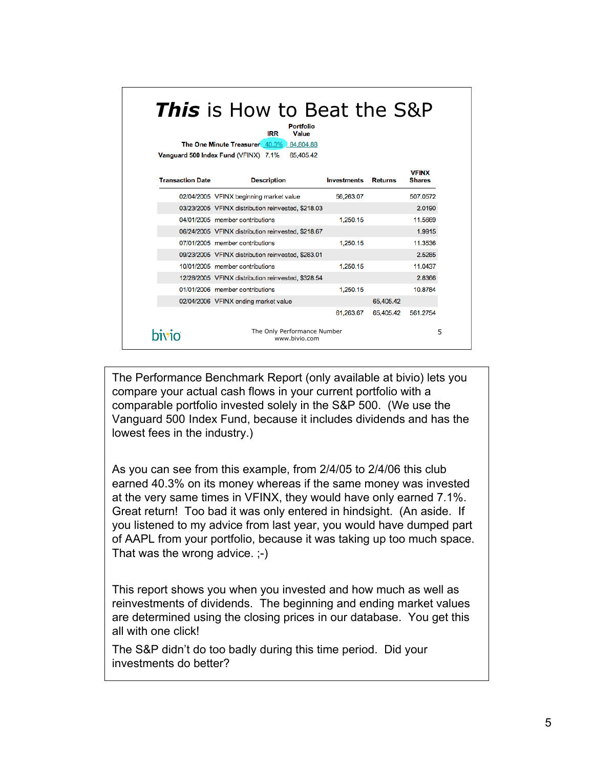| <b>This</b> is How to Beat the S&P<br>Portfolio<br>IRR<br>Value<br>The One Minute Treasurer 40.3% 84,804.88<br>65,405.42<br>Vanguard 500 Index Fund (VFINX) 7.1% |                                                    |                    |                |                               |  |  |
|------------------------------------------------------------------------------------------------------------------------------------------------------------------|----------------------------------------------------|--------------------|----------------|-------------------------------|--|--|
| <b>Transaction Date</b>                                                                                                                                          | <b>Description</b>                                 | <b>Investments</b> | <b>Returns</b> | <b>VFINX</b><br><b>Shares</b> |  |  |
|                                                                                                                                                                  | 02/04/2005 VFINX beginning market value            | 56,263,07          |                | 507.0572                      |  |  |
|                                                                                                                                                                  | 03/23/2005 VFINX distribution reinvested, \$218.03 |                    |                | 2.0190                        |  |  |
|                                                                                                                                                                  | 04/01/2005 member contributions                    | 1.250.15           |                | 11.5669                       |  |  |
|                                                                                                                                                                  | 06/24/2005 VFINX distribution reinvested, \$218.67 |                    |                | 1.9915                        |  |  |
|                                                                                                                                                                  | 07/01/2005 member contributions                    | 1,250.15           |                | 11.3536                       |  |  |
|                                                                                                                                                                  | 09/23/2005 VFINX distribution reinvested, \$283.01 |                    |                | 2.5285                        |  |  |
|                                                                                                                                                                  | 10/01/2005 member contributions                    | 1,250.15           |                | 11.0437                       |  |  |
|                                                                                                                                                                  | 12/28/2005 VFINX distribution reinvested, \$328.54 |                    |                | 2.8366                        |  |  |
|                                                                                                                                                                  | 01/01/2006 member contributions                    | 1,250.15           |                | 10.8784                       |  |  |
|                                                                                                                                                                  | 02/04/2006 VFINX ending market value               |                    | 65,405.42      |                               |  |  |
|                                                                                                                                                                  |                                                    | 61,263,67          | 65,405.42      | 561.2754                      |  |  |
| hivin                                                                                                                                                            | The Only Performance Number<br>www.bivio.com       |                    |                |                               |  |  |

The Performance Benchmark Report (only available at bivio) lets you compare your actual cash flows in your current portfolio with a comparable portfolio invested solely in the S&P 500. (We use the Vanguard 500 Index Fund, because it includes dividends and has the lowest fees in the industry.)

As you can see from this example, from 2/4/05 to 2/4/06 this club earned 40.3% on its money whereas if the same money was invested at the very same times in VFINX, they would have only earned 7.1%. Great return! Too bad it was only entered in hindsight. (An aside. If you listened to my advice from last year, you would have dumped part of AAPL from your portfolio, because it was taking up too much space. That was the wrong advice. ;-)

This report shows you when you invested and how much as well as reinvestments of dividends. The beginning and ending market values are determined using the closing prices in our database. You get this all with one click!

The S&P didn't do too badly during this time period. Did your investments do better?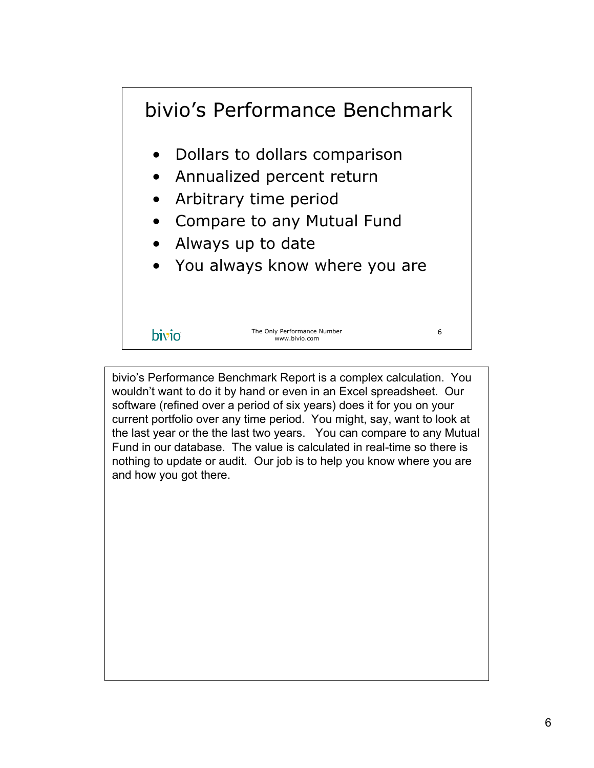

bivio's Performance Benchmark Report is a complex calculation. You wouldn't want to do it by hand or even in an Excel spreadsheet. Our software (refined over a period of six years) does it for you on your current portfolio over any time period. You might, say, want to look at the last year or the the last two years. You can compare to any Mutual Fund in our database. The value is calculated in real-time so there is nothing to update or audit. Our job is to help you know where you are and how you got there.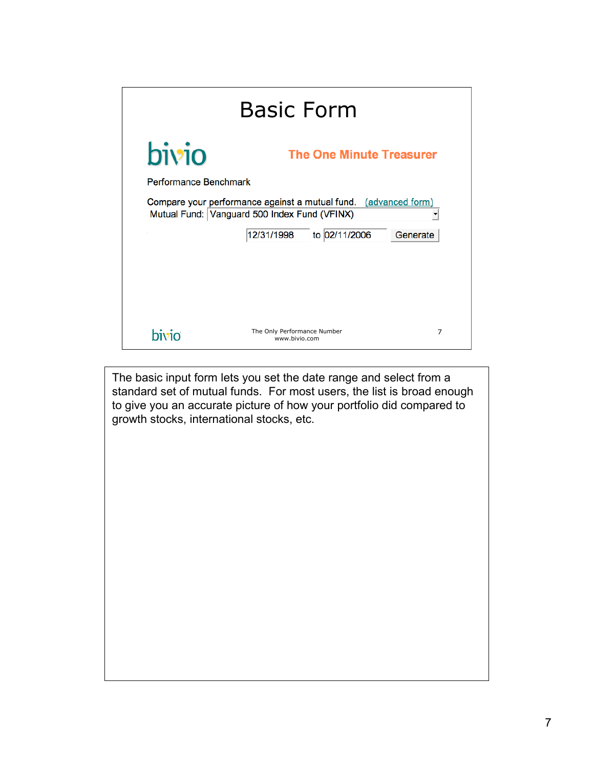| <b>Basic Form</b>                        |                                                                                                                 |                |  |  |  |  |  |
|------------------------------------------|-----------------------------------------------------------------------------------------------------------------|----------------|--|--|--|--|--|
| bivio<br><b>The One Minute Treasurer</b> |                                                                                                                 |                |  |  |  |  |  |
| Performance Benchmark                    |                                                                                                                 |                |  |  |  |  |  |
|                                          | Compare your performance against a mutual fund. (advanced form)<br>Mutual Fund: Vanguard 500 Index Fund (VFINX) |                |  |  |  |  |  |
| 12/31/1998<br>to 02/11/2006<br>Generate  |                                                                                                                 |                |  |  |  |  |  |
|                                          |                                                                                                                 |                |  |  |  |  |  |
|                                          |                                                                                                                 |                |  |  |  |  |  |
|                                          |                                                                                                                 |                |  |  |  |  |  |
| hivin                                    | The Only Performance Number<br>www.bivio.com                                                                    | $\overline{7}$ |  |  |  |  |  |

The basic input form lets you set the date range and select from a standard set of mutual funds. For most users, the list is broad enough to give you an accurate picture of how your portfolio did compared to growth stocks, international stocks, etc.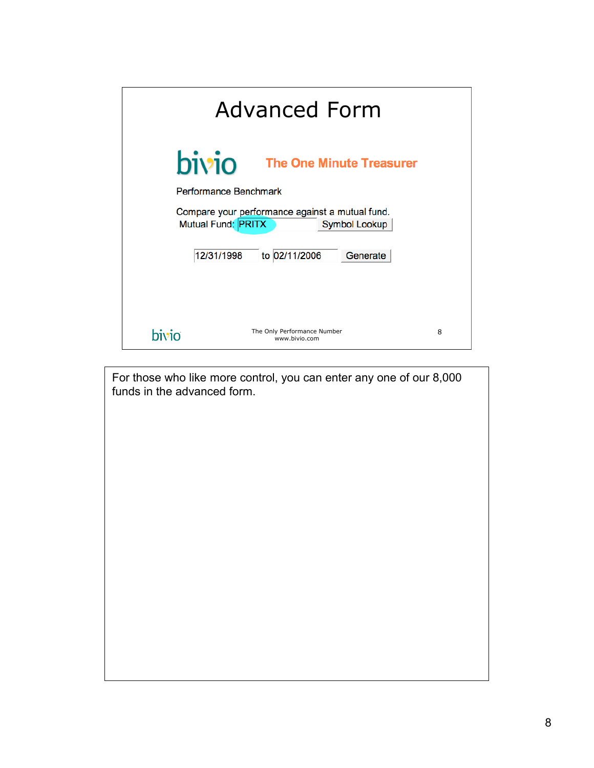| <b>Advanced Form</b> |                                                                                               |   |  |  |  |  |  |
|----------------------|-----------------------------------------------------------------------------------------------|---|--|--|--|--|--|
| bivio                | <b>The One Minute Treasurer</b>                                                               |   |  |  |  |  |  |
|                      | Performance Benchmark                                                                         |   |  |  |  |  |  |
|                      | Compare your performance against a mutual fund.<br>Mutual Fund: PRITX<br><b>Symbol Lookup</b> |   |  |  |  |  |  |
| 12/31/1998           | to 02/11/2006<br>Generate                                                                     |   |  |  |  |  |  |
|                      |                                                                                               |   |  |  |  |  |  |
|                      |                                                                                               |   |  |  |  |  |  |
| hivin                | The Only Performance Number<br>www.bivio.com                                                  | 8 |  |  |  |  |  |

For those who like more control, you can enter any one of our 8,000 funds in the advanced form.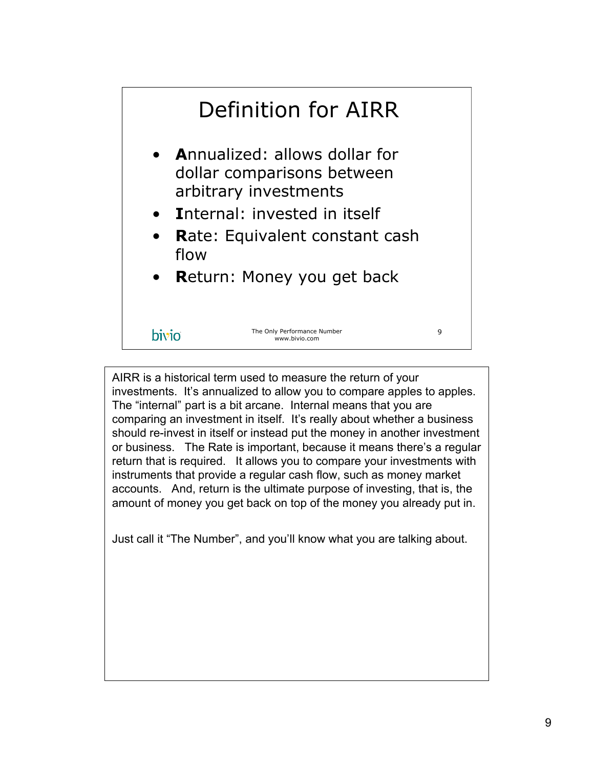

AIRR is a historical term used to measure the return of your investments. It's annualized to allow you to compare apples to apples. The "internal" part is a bit arcane. Internal means that you are comparing an investment in itself. It's really about whether a business should re-invest in itself or instead put the money in another investment or business. The Rate is important, because it means there's a regular return that is required. It allows you to compare your investments with instruments that provide a regular cash flow, such as money market accounts. And, return is the ultimate purpose of investing, that is, the amount of money you get back on top of the money you already put in.

Just call it "The Number", and you'll know what you are talking about.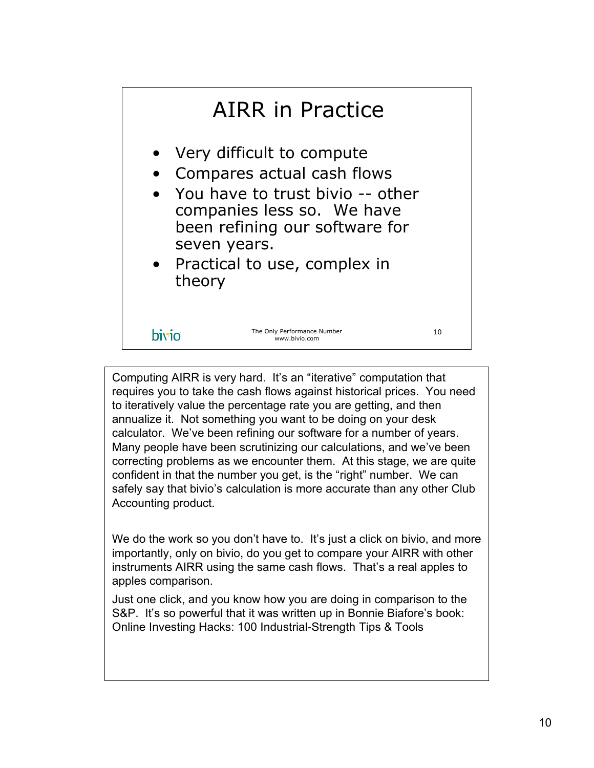

Computing AIRR is very hard. It's an "iterative" computation that requires you to take the cash flows against historical prices. You need to iteratively value the percentage rate you are getting, and then annualize it. Not something you want to be doing on your desk calculator. We've been refining our software for a number of years. Many people have been scrutinizing our calculations, and we've been correcting problems as we encounter them. At this stage, we are quite confident in that the number you get, is the "right" number. We can safely say that bivio's calculation is more accurate than any other Club Accounting product.

We do the work so you don't have to. It's just a click on bivio, and more importantly, only on bivio, do you get to compare your AIRR with other instruments AIRR using the same cash flows. That's a real apples to apples comparison.

Just one click, and you know how you are doing in comparison to the S&P. It's so powerful that it was written up in Bonnie Biafore's book: Online Investing Hacks: 100 Industrial-Strength Tips & Tools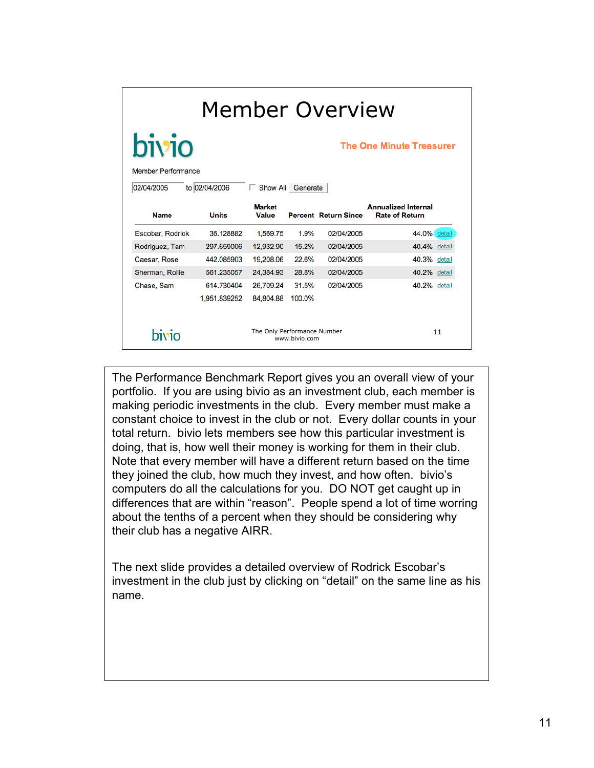| Member Overview                                                               |              |                             |               |                             |                                                     |        |  |
|-------------------------------------------------------------------------------|--------------|-----------------------------|---------------|-----------------------------|-----------------------------------------------------|--------|--|
| bivio<br><b>The One Minute Treasurer</b>                                      |              |                             |               |                             |                                                     |        |  |
| <b>Member Performance</b><br>to 02/04/2006<br>02/04/2005<br>Show All Generate |              |                             |               |                             |                                                     |        |  |
| <b>Name</b>                                                                   | <b>Units</b> | <b>Market</b><br>Value      |               | <b>Percent Return Since</b> | <b>Annualized Internal</b><br><b>Rate of Return</b> |        |  |
| Escobar, Rodrick                                                              | 36.128882    | 1.569.75                    | 1.9%          | 02/04/2005                  | 44.0% detail                                        |        |  |
| Rodriguez, Tam                                                                | 297.659006   | 12,932.90                   | 15.2%         | 02/04/2005                  | 40.4% detail                                        |        |  |
| Caesar, Rose                                                                  | 442.085903   | 19,208.06                   | 22.6%         | 02/04/2005                  | 40.3%                                               | detail |  |
| Sherman, Rollie                                                               | 561.235057   | 24.384.93                   | 28.8%         | 02/04/2005                  | 40.2% detail                                        |        |  |
| Chase, Sam                                                                    | 614.730404   | 26,709.24                   | 31.5%         | 02/04/2005                  | 40.2% detail                                        |        |  |
|                                                                               | 1,951.839252 | 84,804.88                   | 100.0%        |                             |                                                     |        |  |
| bivio                                                                         |              | The Only Performance Number | www.bivio.com |                             |                                                     | 11     |  |

The Performance Benchmark Report gives you an overall view of your portfolio. If you are using bivio as an investment club, each member is making periodic investments in the club. Every member must make a constant choice to invest in the club or not. Every dollar counts in your total return. bivio lets members see how this particular investment is doing, that is, how well their money is working for them in their club. Note that every member will have a different return based on the time they joined the club, how much they invest, and how often. bivio's computers do all the calculations for you. DO NOT get caught up in differences that are within "reason". People spend a lot of time worring about the tenths of a percent when they should be considering why their club has a negative AIRR.

The next slide provides a detailed overview of Rodrick Escobar's investment in the club just by clicking on "detail" on the same line as his name.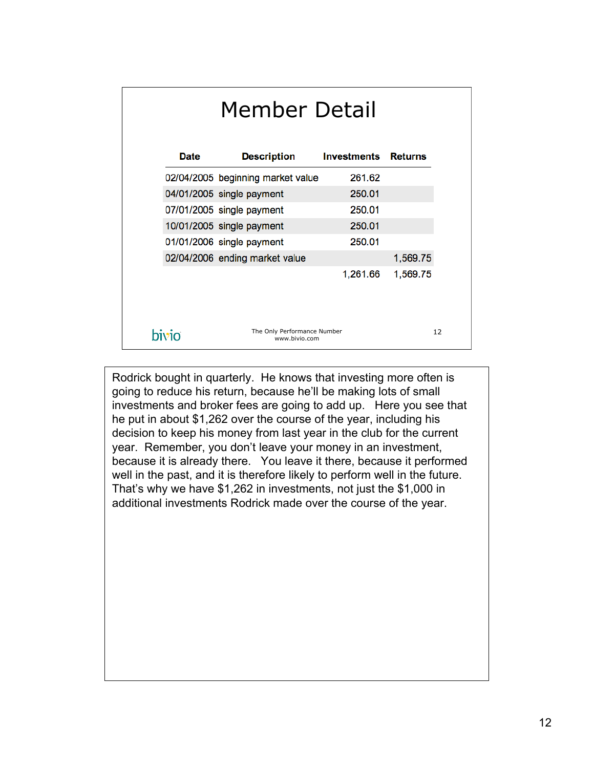| Member Detail |                                   |                    |                |  |  |
|---------------|-----------------------------------|--------------------|----------------|--|--|
| Date          | <b>Description</b>                | <b>Investments</b> | <b>Returns</b> |  |  |
|               | 02/04/2005 beginning market value | 261.62             |                |  |  |
|               | 04/01/2005 single payment         | 250.01             |                |  |  |
|               | 07/01/2005 single payment         | 250.01             |                |  |  |
|               | 10/01/2005 single payment         | 250.01             |                |  |  |
|               | 01/01/2006 single payment         | 250.01             |                |  |  |
|               | 02/04/2006 ending market value    |                    | 1,569.75       |  |  |
|               |                                   | 1,261.66           | 1,569.75       |  |  |
| bivio         | 12                                |                    |                |  |  |

Rodrick bought in quarterly. He knows that investing more often is going to reduce his return, because he'll be making lots of small investments and broker fees are going to add up. Here you see that he put in about \$1,262 over the course of the year, including his decision to keep his money from last year in the club for the current year. Remember, you don't leave your money in an investment, because it is already there. You leave it there, because it performed well in the past, and it is therefore likely to perform well in the future. That's why we have \$1,262 in investments, not just the \$1,000 in additional investments Rodrick made over the course of the year.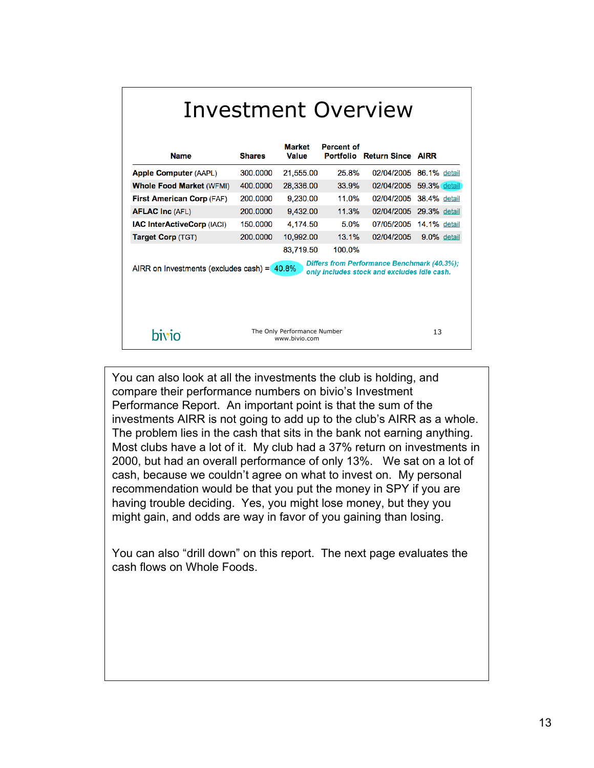| Investment Overview<br>Market<br><b>Percent of</b>                                                                                           |               |                                              |        |                                    |                     |  |  |
|----------------------------------------------------------------------------------------------------------------------------------------------|---------------|----------------------------------------------|--------|------------------------------------|---------------------|--|--|
| <b>Name</b>                                                                                                                                  | <b>Shares</b> | Value                                        |        | <b>Portfolio Return Since AIRR</b> |                     |  |  |
| <b>Apple Computer (AAPL)</b>                                                                                                                 | 300,0000      | 21,555.00                                    | 25.8%  | 02/04/2005                         | 86.1% detail        |  |  |
| <b>Whole Food Market (WFMI)</b>                                                                                                              | 400,0000      | 28,336.00                                    | 33.9%  | 02/04/2005                         | 59.3% detail        |  |  |
| <b>First American Corp (FAF)</b>                                                                                                             | 200,0000      | 9,230.00                                     | 11.0%  | 02/04/2005                         | <b>38.4%</b> detail |  |  |
| <b>AFLAC Inc (AFL)</b>                                                                                                                       | 200,0000      | 9,432.00                                     | 11.3%  | 02/04/2005 29.3% detail            |                     |  |  |
| <b>IAC InterActiveCorp (IACI)</b>                                                                                                            | 150,0000      | 4,174.50                                     | 5.0%   | 07/05/2005                         | <b>14.1%</b> detail |  |  |
| Target Corp (TGT)                                                                                                                            | 200,0000      | 10,992.00                                    | 13.1%  | 02/04/2005                         | 9.0% detail         |  |  |
|                                                                                                                                              |               | 83,719.50                                    | 100.0% |                                    |                     |  |  |
| Differs from Performance Benchmark (40.3%);<br>AIRR on Investments (excludes cash) = $40.8\%$<br>only includes stock and excludes idle cash. |               |                                              |        |                                    |                     |  |  |
| bivio                                                                                                                                        |               | The Only Performance Number<br>www.bivio.com |        |                                    | 13                  |  |  |

You can also look at all the investments the club is holding, and compare their performance numbers on bivio's Investment Performance Report. An important point is that the sum of the investments AIRR is not going to add up to the club's AIRR as a whole. The problem lies in the cash that sits in the bank not earning anything. Most clubs have a lot of it. My club had a 37% return on investments in 2000, but had an overall performance of only 13%. We sat on a lot of cash, because we couldn't agree on what to invest on. My personal recommendation would be that you put the money in SPY if you are having trouble deciding. Yes, you might lose money, but they you might gain, and odds are way in favor of you gaining than losing.

You can also "drill down" on this report. The next page evaluates the cash flows on Whole Foods.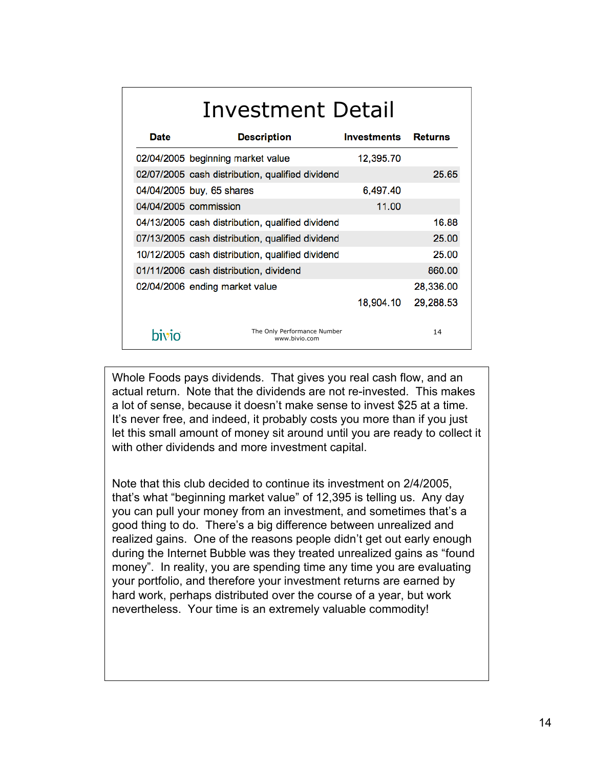| Investment Detail |                                                  |                    |                |  |  |  |
|-------------------|--------------------------------------------------|--------------------|----------------|--|--|--|
| <b>Date</b>       | <b>Description</b>                               | <b>Investments</b> | <b>Returns</b> |  |  |  |
|                   | 02/04/2005 beginning market value                | 12,395.70          |                |  |  |  |
|                   | 02/07/2005 cash distribution, qualified dividend |                    | 25.65          |  |  |  |
|                   | 04/04/2005 buy, 65 shares                        | 6,497.40           |                |  |  |  |
|                   | 04/04/2005 commission                            | 11.00              |                |  |  |  |
|                   | 04/13/2005 cash distribution, qualified dividend |                    | 16.88          |  |  |  |
|                   | 07/13/2005 cash distribution, qualified dividend |                    | 25.00          |  |  |  |
|                   | 10/12/2005 cash distribution, qualified dividend |                    | 25.00          |  |  |  |
|                   | 01/11/2006 cash distribution, dividend           |                    | 860.00         |  |  |  |
|                   | 02/04/2006 ending market value                   |                    | 28,336.00      |  |  |  |
|                   |                                                  | 18,904.10          | 29,288.53      |  |  |  |
| hivio             | The Only Performance Number<br>www.bivio.com     |                    | 14             |  |  |  |

Whole Foods pays dividends. That gives you real cash flow, and an actual return. Note that the dividends are not re-invested. This makes a lot of sense, because it doesn't make sense to invest \$25 at a time. It's never free, and indeed, it probably costs you more than if you just let this small amount of money sit around until you are ready to collect it with other dividends and more investment capital.

Note that this club decided to continue its investment on 2/4/2005, that's what "beginning market value" of 12,395 is telling us. Any day you can pull your money from an investment, and sometimes that's a good thing to do. There's a big difference between unrealized and realized gains. One of the reasons people didn't get out early enough during the Internet Bubble was they treated unrealized gains as "found money". In reality, you are spending time any time you are evaluating your portfolio, and therefore your investment returns are earned by hard work, perhaps distributed over the course of a year, but work nevertheless. Your time is an extremely valuable commodity!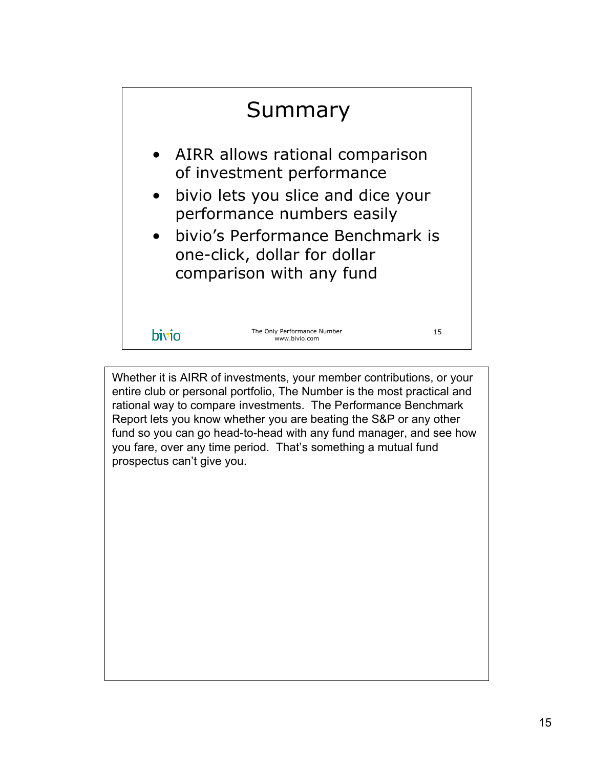

Whether it is AIRR of investments, your member contributions, or your entire club or personal portfolio, The Number is the most practical and rational way to compare investments. The Performance Benchmark Report lets you know whether you are beating the S&P or any other fund so you can go head-to-head with any fund manager, and see how you fare, over any time period. That's something a mutual fund prospectus can't give you.